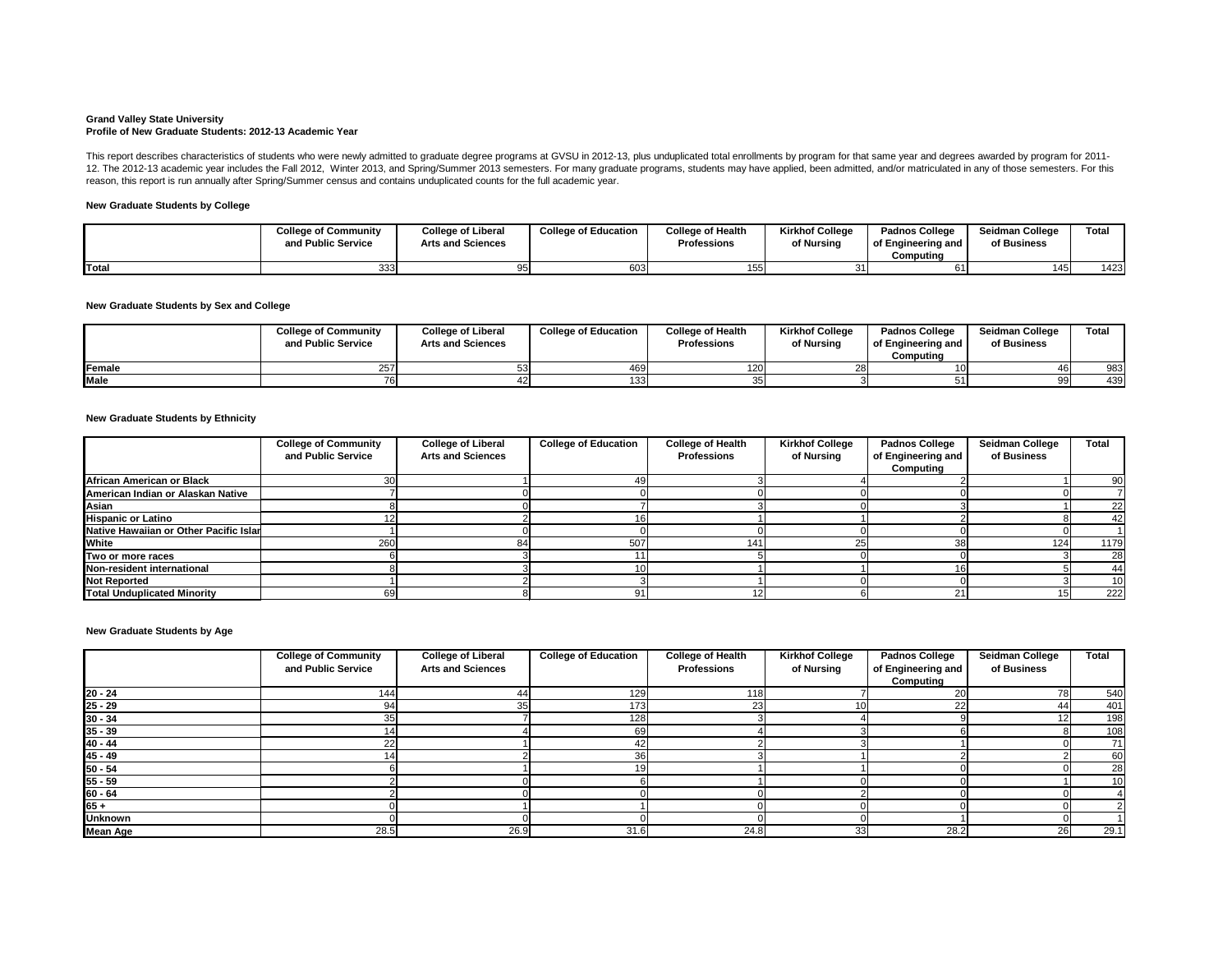#### **Grand Valley State University Profile of New Graduate Students: 2012-13 Academic Year**

### **New Graduate Students by College**

## **New Graduate Students by Sex and College**

#### **New Graduate Students by Ethnicity**

|             | <b>College of Community</b><br>and Public Service | <b>College of Liberal</b><br><b>Arts and Sciences</b> | <b>College of Education</b> | <b>College of Health</b><br><b>Professions</b> | <b>Kirkhof College</b><br>of Nursing | <b>Padnos College</b><br>of Engineering and<br>Computina | <b>Seidman College</b><br>of Business | <b>Total</b> |
|-------------|---------------------------------------------------|-------------------------------------------------------|-----------------------------|------------------------------------------------|--------------------------------------|----------------------------------------------------------|---------------------------------------|--------------|
| Female      | 251                                               |                                                       | 469                         | 120                                            |                                      |                                                          | 461                                   | 983          |
| <b>Male</b> |                                                   |                                                       | 133                         |                                                |                                      |                                                          | 99                                    | 439          |

This report describes characteristics of students who were newly admitted to graduate degree programs at GVSU in 2012-13, plus unduplicated total enrollments by program for that same year and degrees awarded by program for 12. The 2012-13 academic year includes the Fall 2012, Winter 2013, and Spring/Summer 2013 semesters. For many graduate programs, students may have applied, been admitted, and/or matriculated in any of those semesters. For reason, this report is run annually after Spring/Summer census and contains unduplicated counts for the full academic year.

|       | <b>College of Community</b><br>and Public Service | <b>College of Liberal</b><br><b>Arts and Sciences</b> | <b>College of Education</b> | <b>College of Health</b><br><b>Professions</b> | <b>Kirkhof College</b><br>of Nursing | <b>Padnos College</b><br>of Engineering and<br>Computing | <b>Seidman College</b><br>of Business | Total |
|-------|---------------------------------------------------|-------------------------------------------------------|-----------------------------|------------------------------------------------|--------------------------------------|----------------------------------------------------------|---------------------------------------|-------|
| Total |                                                   |                                                       | 603                         | 155                                            |                                      |                                                          | 145                                   | 1423  |

**New Graduate Students by Age**

|                                        | <b>College of Community</b><br>and Public Service | <b>College of Liberal</b><br><b>Arts and Sciences</b> | <b>College of Education</b> | <b>College of Health</b><br><b>Professions</b> | <b>Kirkhof College</b><br>of Nursing | <b>Padnos College</b><br>of Engineering and<br>Computing | <b>Seidman College</b><br>of Business | <b>Total</b> |
|----------------------------------------|---------------------------------------------------|-------------------------------------------------------|-----------------------------|------------------------------------------------|--------------------------------------|----------------------------------------------------------|---------------------------------------|--------------|
| African American or Black              |                                                   |                                                       |                             |                                                |                                      |                                                          |                                       | 90           |
| American Indian or Alaskan Native      |                                                   |                                                       |                             |                                                |                                      |                                                          |                                       |              |
| Asian                                  |                                                   |                                                       |                             |                                                |                                      |                                                          |                                       | 22           |
| <b>Hispanic or Latino</b>              |                                                   |                                                       |                             |                                                |                                      |                                                          |                                       | 42           |
| Native Hawaiian or Other Pacific Islar |                                                   |                                                       |                             |                                                |                                      |                                                          |                                       |              |
| <b>White</b>                           | 260                                               |                                                       | 507                         | 141                                            | 25                                   |                                                          | 124                                   | 1179         |
| Two or more races                      |                                                   |                                                       |                             |                                                |                                      |                                                          |                                       | 28           |
| Non-resident international             |                                                   |                                                       |                             |                                                |                                      |                                                          |                                       | 44           |
| Not Reported                           |                                                   |                                                       |                             |                                                |                                      |                                                          |                                       | 10           |
| <b>Total Unduplicated Minority</b>     |                                                   |                                                       | 91                          |                                                |                                      |                                                          |                                       | 222          |

|                           | <b>College of Community</b> | <b>College of Liberal</b> | <b>College of Education</b> | <b>College of Health</b> | <b>Kirkhof College</b> | <b>Padnos College</b> | <b>Seidman College</b> | <b>Total</b> |
|---------------------------|-----------------------------|---------------------------|-----------------------------|--------------------------|------------------------|-----------------------|------------------------|--------------|
|                           | and Public Service          | <b>Arts and Sciences</b>  |                             | <b>Professions</b>       | of Nursing             | of Engineering and    | of Business            |              |
|                           |                             |                           |                             |                          |                        | Computing             |                        |              |
| $20 - 24$                 | 144                         |                           | 129                         | 118                      |                        |                       | 78I                    | 540          |
| $25 - 29$                 | 94                          | 35                        | 173 <sub>1</sub>            | 23                       | 10 <sup>1</sup>        |                       | 44                     | 401          |
| $30 - 34$                 |                             |                           | 128                         |                          |                        |                       | 12I                    | 198          |
|                           |                             |                           | 69                          |                          |                        |                       |                        | 108          |
| $\frac{35 - 39}{40 - 44}$ |                             |                           | 42                          |                          |                        |                       |                        | 71           |
| $\frac{45 - 49}{50 - 54}$ |                             |                           | 36                          |                          |                        |                       |                        | 60           |
|                           |                             |                           |                             |                          |                        |                       |                        | 28           |
| $55 - 59$                 |                             |                           |                             |                          |                        |                       |                        | 10           |
| $60 - 64$                 |                             |                           |                             |                          |                        |                       |                        |              |
| $65 +$                    |                             |                           |                             |                          |                        |                       |                        |              |
| <b>Unknown</b>            |                             |                           |                             |                          |                        |                       |                        |              |
| <b>Mean Age</b>           | 28.5                        | 26.9                      | 31.6                        | 24.8                     | 33                     | 28.2                  | <b>26</b>              | 29.1         |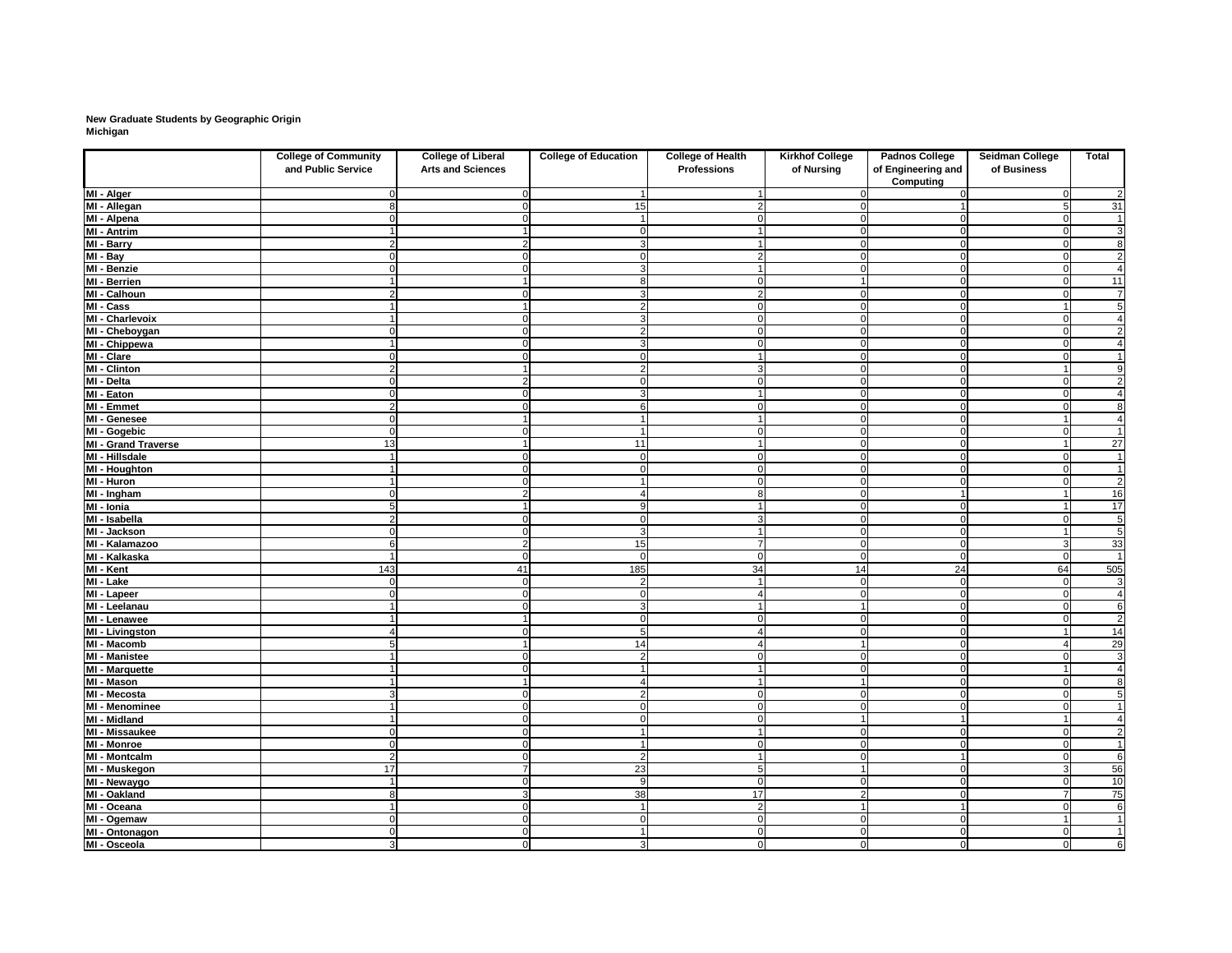# **New Graduate Students by Geographic Origin Michigan**

|                            | <b>College of Community</b> | <b>College of Liberal</b> | <b>College of Education</b> | <b>College of Health</b> | <b>Kirkhof College</b> | <b>Padnos College</b>                  | <b>Seidman College</b> | <b>Total</b>             |
|----------------------------|-----------------------------|---------------------------|-----------------------------|--------------------------|------------------------|----------------------------------------|------------------------|--------------------------|
|                            | and Public Service          | <b>Arts and Sciences</b>  |                             | <b>Professions</b>       | of Nursing             | of Engineering and<br><b>Computing</b> | of Business            |                          |
| MI - Alger                 |                             |                           |                             |                          |                        |                                        |                        | $\overline{2}$           |
| MI - Allegan               |                             |                           | 15                          |                          |                        |                                        |                        | 31                       |
| MI - Alpena                |                             |                           | 4                           |                          | 0                      |                                        | - 0                    | $\mathbf{1}$             |
| MI - Antrim                |                             |                           | 0                           |                          | $\overline{0}$         |                                        | $\Omega$               | $\overline{3}$           |
| MI - Barry                 | ◠                           |                           | 3                           |                          | $\mathbf 0$            |                                        | $\cap$                 | $\overline{8}$           |
| $M - Bay$                  |                             |                           | $\Omega$                    |                          | $\overline{0}$         |                                        |                        | $\overline{2}$           |
| MI - Benzie                |                             |                           | 3                           |                          | $\overline{0}$         |                                        |                        | 4                        |
| MI - Berrien               |                             |                           | 8                           |                          |                        |                                        | - 0                    | 11                       |
| MI - Calhoun               |                             |                           | 3                           |                          | $\overline{0}$         |                                        |                        | $\overline{7}$           |
| MI - Cass                  |                             |                           | $\overline{2}$              |                          | $\overline{0}$         |                                        |                        | $\overline{5}$           |
| MI - Charlevoix            |                             |                           | 3                           |                          | $\mathbf 0$            |                                        | - 0                    | $\overline{\mathcal{A}}$ |
| MI - Cheboygan             |                             |                           | $\overline{2}$              | n                        | $\overline{0}$         |                                        | $\Omega$               | $\overline{2}$           |
| MI - Chippewa              |                             |                           | 3                           |                          | $\Omega$               |                                        |                        | $\overline{4}$           |
| MI - Clare                 |                             |                           |                             |                          | $\Omega$               |                                        |                        | $\mathbf 1$              |
| <b>MI</b> - Clinton        |                             |                           | $\overline{2}$              |                          | $\mathbf 0$            |                                        |                        | 9                        |
| MI - Delta                 |                             |                           | $\Omega$                    |                          | $\mathbf 0$            |                                        |                        | $\overline{2}$           |
| MI - Eaton                 |                             |                           | 3                           |                          | $\mathbf 0$            |                                        |                        | $\overline{4}$           |
| MI - Emmet                 | $\overline{2}$              |                           | $6 \mid$                    |                          | $\overline{0}$         |                                        | -0                     | $\overline{8}$           |
| MI - Genesee               | $\Omega$                    |                           | $\overline{1}$              |                          | $\overline{0}$         | $\Omega$                               |                        | $\overline{4}$           |
| MI - Gogebic               |                             |                           | $\overline{1}$              | $\cap$                   | $\overline{0}$         | $\Omega$                               | $\Omega$               | $\mathbf 1$              |
| <b>MI - Grand Traverse</b> | 13                          |                           | 11                          |                          | $\overline{0}$         | $\Omega$                               |                        | $\overline{27}$          |
| <b>MI - Hillsdale</b>      |                             |                           | $\mathbf 0$                 | $\cap$                   | $\overline{0}$         | 0                                      | $\Omega$               | $\mathbf 1$              |
| <b>MI - Houghton</b>       |                             |                           | $\mathbf 0$                 | $\cap$                   | $\overline{0}$         | $\Omega$                               | $\Omega$               | $\mathbf{1}$             |
| MI - Huron                 |                             |                           | $\overline{1}$              | $\cap$                   | $\overline{0}$         | $\Omega$                               | $\Omega$               | $\overline{2}$           |
| MI - Ingham                |                             |                           | $\overline{4}$              | -8                       | 0                      |                                        |                        | 16                       |
| MI - Ionia                 | 5                           |                           | 9                           |                          | $\overline{0}$         | $\Omega$                               |                        | 17                       |
| MI - Isabella              | $\overline{2}$              | n                         | $\mathbf 0$                 | 3                        | $\overline{0}$         | $\Omega$                               | $\Omega$               | $\overline{5}$           |
| MI - Jackson               |                             |                           | $\mathbf{3}$                |                          | $\overline{0}$         | $\Omega$                               |                        | $\overline{5}$           |
| MI - Kalamazoo             |                             |                           | 15                          |                          | $\mathbf 0$            |                                        | 3                      | 33                       |
| MI - Kalkaska              |                             |                           | $\Omega$                    | $\cap$                   | $\overline{0}$         | $\Omega$                               | $\Omega$               | $\overline{1}$           |
| MI - Kent                  | 143                         | 41                        | 185                         | 34                       | 14                     | 24                                     | 64                     | 505                      |
| MI - Lake                  | ∩                           |                           | $\overline{2}$              |                          | $\Omega$               | ∩                                      | 0                      | 3                        |
| MI - Lapeer                |                             |                           | $\mathbf 0$                 |                          | $\overline{0}$         | $\Omega$                               | n                      | $\overline{4}$           |
| MI - Leelanau              |                             | $\Omega$                  | $\mathbf{3}$                |                          |                        | $\Omega$                               | $\overline{0}$         | $\overline{6}$           |
| MI - Lenawee               | 1                           |                           | $\mathbf 0$                 | $\Omega$                 | $\overline{0}$         | $\Omega$                               | $\Omega$               | $\overline{2}$           |
| MI - Livingston            | 4                           |                           | 5                           | $\boldsymbol{\varDelta}$ | $\overline{0}$         | $\Omega$                               |                        | 14                       |
| MI - Macomb                | 5                           |                           | 14                          |                          |                        | 0                                      |                        | 29                       |
| MI - Manistee              |                             |                           | $\overline{2}$              |                          | $\overline{0}$         | 0                                      | -0                     | $\overline{3}$           |
| <b>MI - Marquette</b>      |                             |                           | $\overline{\mathbf{1}}$     |                          | $\mathbf 0$            |                                        |                        |                          |
| MI - Mason                 |                             |                           | 4                           |                          |                        |                                        |                        | 8                        |
| MI - Mecosta               | $\overline{3}$              |                           | $\mathbf{2}$                | <sup>n</sup>             | $\overline{0}$         |                                        |                        |                          |
| <b>MI</b> - Menominee      |                             | ∩                         | $\mathbf 0$                 | $\cap$                   | $\overline{0}$         |                                        | $\Omega$               |                          |
| MI - Midland               | 1                           | ∩                         | $\mathbf 0$                 | $\Omega$                 |                        |                                        |                        |                          |
| MI - Missaukee             | $\Omega$                    | ∩                         | $\overline{1}$              |                          | $\overline{0}$         | $\Omega$                               | $\Omega$               | $\overline{2}$           |
| <b>MI-Monroe</b>           | $\Omega$                    |                           | $\overline{1}$              | <sup>n</sup>             | $\overline{0}$         |                                        | $\Omega$               |                          |
| <b>MI - Montcalm</b>       | 2                           |                           | $\mathbf{2}$                |                          | $\overline{0}$         |                                        | -0                     | 6                        |
| MI - Muskegon              | 17                          |                           | $\overline{23}$             | 5                        |                        |                                        | 3                      | 56                       |
| MI - Newaygo               | $\blacktriangleleft$        |                           | 9                           | $\Omega$                 | $\overline{0}$         |                                        | $\Omega$               | 10                       |
| MI - Oakland               | 8                           |                           | 38                          | 17                       | 2                      |                                        |                        | 75                       |
| MI - Oceana                | 1                           | ∩                         | $\overline{1}$              | $\overline{2}$           |                        |                                        | $\Omega$               | 6                        |
| MI - Ogemaw                | $\Omega$                    |                           | $\mathbf 0$                 | $\overline{0}$           | $\overline{0}$         | $\Omega$                               | -1                     |                          |
| MI - Ontonagon             | $\Omega$                    |                           | $\overline{1}$              | $\Omega$                 | $\overline{0}$         | $\Omega$                               | $\Omega$               |                          |
| MI - Osceola               | 3 <sup>1</sup>              | $\overline{0}$            | $\mathbf{3}$                | $\Omega$                 | 0                      | $\overline{0}$                         | $\Omega$               | 6                        |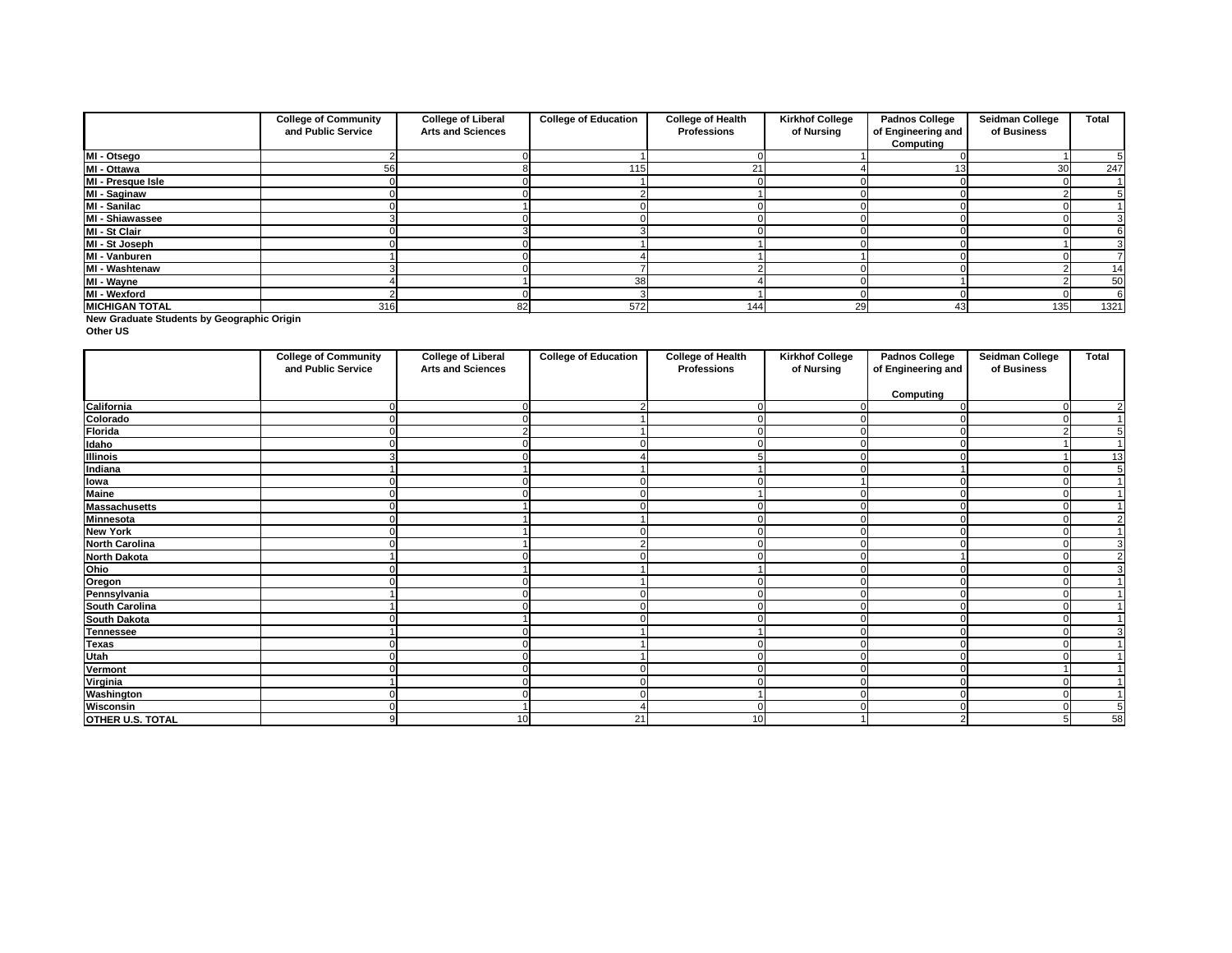**New Graduate Students by Geographic Origin**

**Other US**

|                       | <b>College of Community</b> | <b>College of Liberal</b> | <b>College of Education</b> | <b>College of Health</b> | <b>Kirkhof College</b> | <b>Padnos College</b> | <b>Seidman College</b> | <b>Total</b> |
|-----------------------|-----------------------------|---------------------------|-----------------------------|--------------------------|------------------------|-----------------------|------------------------|--------------|
|                       | and Public Service          | <b>Arts and Sciences</b>  |                             | <b>Professions</b>       | of Nursing             | of Engineering and    | of Business            |              |
|                       |                             |                           |                             |                          |                        | Computing             |                        |              |
| MI - Otsego           |                             |                           |                             |                          |                        |                       |                        |              |
| MI - Ottawa           | 56                          |                           | 115.                        | 21                       |                        |                       | 30                     | 247          |
| MI - Presque Isle     |                             |                           |                             |                          |                        |                       |                        |              |
| MI - Saginaw          |                             |                           |                             |                          |                        |                       |                        |              |
| MI - Sanilac          |                             |                           |                             |                          |                        |                       |                        |              |
| MI - Shiawassee       |                             |                           |                             |                          |                        |                       |                        |              |
| MI - St Clair         |                             |                           |                             |                          |                        |                       |                        |              |
| MI - St Joseph        |                             |                           |                             |                          |                        |                       |                        |              |
| MI - Vanburen         |                             |                           |                             |                          |                        |                       |                        |              |
| MI - Washtenaw        |                             |                           |                             |                          |                        |                       |                        | 14           |
| MI - Wayne            |                             |                           | 38                          |                          |                        |                       |                        | 50           |
| MI - Wexford          |                             |                           |                             |                          |                        |                       |                        | 6            |
| <b>MICHIGAN TOTAL</b> | 316                         | 82                        | 572                         | 144                      | 29                     | 43                    | 135                    | 1321         |

|                          | <b>College of Community</b><br>and Public Service | <b>College of Liberal</b><br><b>Arts and Sciences</b> | <b>College of Education</b> | <b>College of Health</b><br><b>Professions</b> | <b>Kirkhof College</b><br>of Nursing | <b>Padnos College</b><br>of Engineering and | <b>Seidman College</b><br>of Business | <b>Total</b>   |
|--------------------------|---------------------------------------------------|-------------------------------------------------------|-----------------------------|------------------------------------------------|--------------------------------------|---------------------------------------------|---------------------------------------|----------------|
|                          |                                                   |                                                       |                             |                                                |                                      | <b>Computing</b>                            |                                       |                |
| California               |                                                   |                                                       |                             |                                                |                                      |                                             |                                       | 2              |
| Colorado<br>Florida      | 0                                                 |                                                       |                             | $\Omega$                                       |                                      |                                             |                                       |                |
|                          |                                                   |                                                       |                             |                                                |                                      |                                             |                                       | 5              |
| <b>Idaho</b><br>Illinois | 0                                                 |                                                       |                             | $\Omega$                                       | ∩                                    |                                             |                                       |                |
|                          |                                                   |                                                       |                             |                                                |                                      |                                             |                                       | 13             |
| <b>Indiana</b>           |                                                   |                                                       |                             |                                                |                                      |                                             |                                       | 5              |
| <b>Towa</b><br>Maine     |                                                   |                                                       |                             |                                                |                                      |                                             |                                       |                |
|                          | 0                                                 |                                                       |                             |                                                |                                      |                                             |                                       |                |
| <b>Massachusetts</b>     |                                                   |                                                       |                             |                                                |                                      |                                             |                                       |                |
| <b>Minnesota</b>         |                                                   |                                                       |                             | ∩                                              |                                      |                                             |                                       | $\overline{2}$ |
| <b>New York</b>          |                                                   |                                                       |                             |                                                |                                      |                                             |                                       |                |
| <b>North Carolina</b>    |                                                   |                                                       |                             | ∩                                              |                                      |                                             |                                       | 3              |
| <b>North Dakota</b>      |                                                   |                                                       |                             |                                                |                                      |                                             |                                       | $\overline{2}$ |
| Ohio                     |                                                   |                                                       |                             |                                                |                                      |                                             |                                       | $\overline{3}$ |
| Oregon                   |                                                   |                                                       |                             |                                                |                                      |                                             |                                       |                |
| Pennsylvania             |                                                   |                                                       |                             |                                                |                                      |                                             |                                       |                |
| <b>South Carolina</b>    |                                                   |                                                       | ∩                           | $\Omega$                                       |                                      |                                             |                                       |                |
| <b>South Dakota</b>      |                                                   |                                                       |                             |                                                |                                      |                                             |                                       |                |
| <b>Tennessee</b>         |                                                   |                                                       |                             |                                                |                                      |                                             |                                       |                |
| <b>Texas</b>             |                                                   |                                                       |                             |                                                |                                      |                                             |                                       |                |
| Utah<br>Vermont          |                                                   |                                                       |                             |                                                |                                      |                                             |                                       |                |
|                          |                                                   |                                                       |                             |                                                |                                      |                                             |                                       |                |
| Virginia                 |                                                   |                                                       |                             |                                                |                                      |                                             |                                       |                |
| <b>Washington</b>        |                                                   |                                                       |                             |                                                |                                      |                                             |                                       |                |
| <b>Wisconsin</b>         |                                                   |                                                       |                             | $\Omega$                                       |                                      |                                             |                                       | 5              |
| <b>OTHER U.S. TOTAL</b>  | 9                                                 | 10                                                    | 21                          | 10                                             |                                      |                                             |                                       | 58             |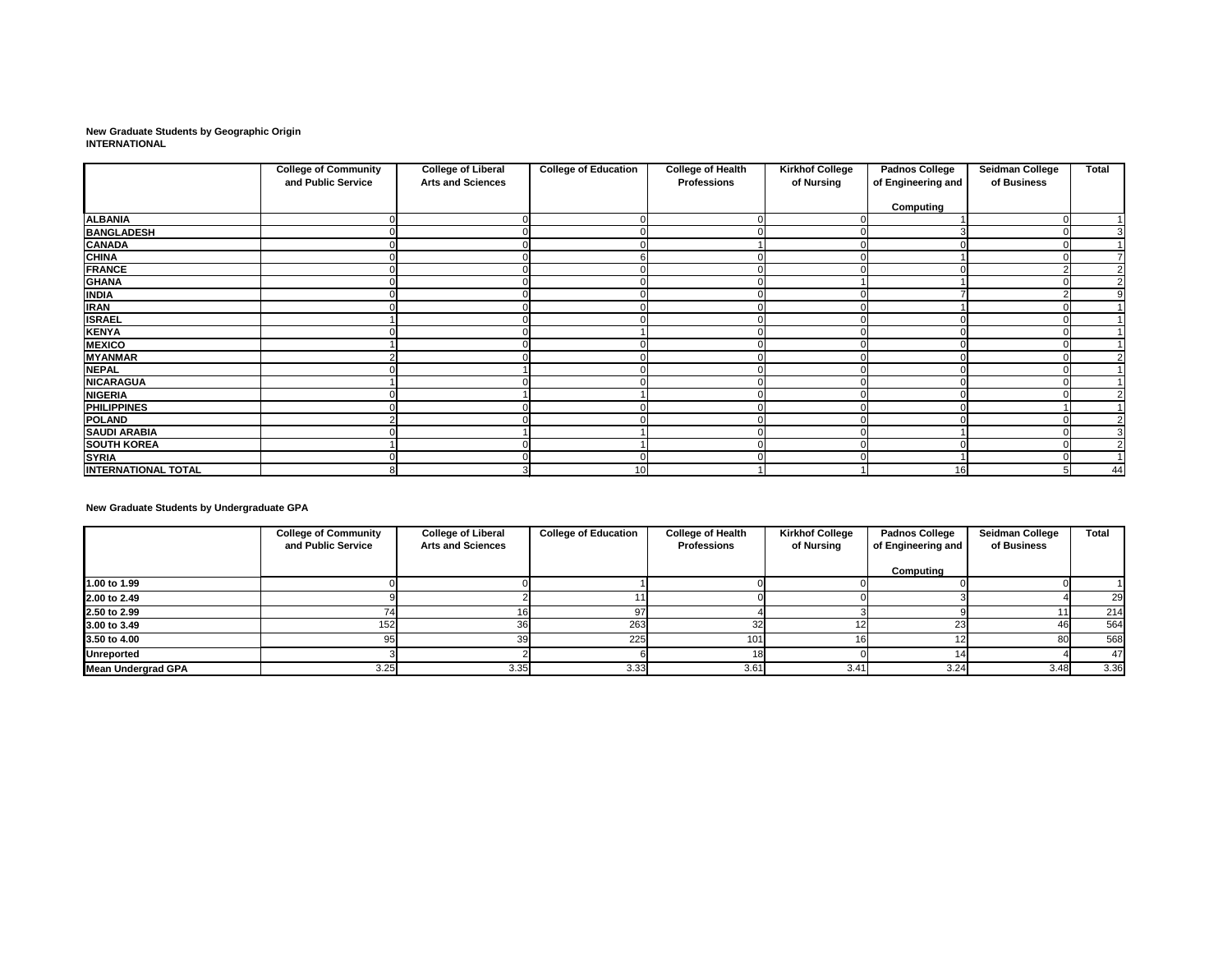**New Graduate Students by Geographic Origin INTERNATIONAL**

|                            | <b>College of Community</b> | <b>College of Liberal</b> | <b>College of Education</b> | <b>College of Health</b> | <b>Kirkhof College</b> | <b>Padnos College</b> | <b>Seidman College</b> | <b>Total</b>   |
|----------------------------|-----------------------------|---------------------------|-----------------------------|--------------------------|------------------------|-----------------------|------------------------|----------------|
|                            | and Public Service          | <b>Arts and Sciences</b>  |                             | <b>Professions</b>       | of Nursing             | of Engineering and    | of Business            |                |
|                            |                             |                           |                             |                          |                        | <b>Computing</b>      |                        |                |
| <b>ALBANIA</b>             |                             |                           |                             |                          |                        |                       |                        |                |
| <b>BANGLADESH</b>          |                             |                           |                             |                          |                        |                       |                        |                |
| <b>CANADA</b>              |                             |                           |                             |                          |                        |                       |                        |                |
| <b>CHINA</b>               |                             |                           |                             |                          |                        |                       |                        |                |
| <b>FRANCE</b>              |                             |                           |                             |                          |                        |                       |                        | $\overline{2}$ |
| <b>GHANA</b>               |                             |                           |                             |                          |                        |                       |                        | $\overline{2}$ |
| <b>INDIA</b>               |                             |                           |                             |                          |                        |                       |                        | 9              |
| <b>IRAN</b>                |                             |                           |                             |                          |                        |                       |                        |                |
| <b>ISRAEL</b>              |                             |                           |                             |                          |                        |                       |                        |                |
| <b>KENYA</b>               |                             |                           |                             |                          |                        |                       |                        |                |
| <b>MEXICO</b>              |                             |                           |                             |                          |                        |                       |                        |                |
| <b>MYANMAR</b>             |                             |                           |                             |                          |                        |                       |                        |                |
| <b>NEPAL</b>               |                             |                           |                             |                          |                        |                       |                        |                |
| <b>NICARAGUA</b>           |                             |                           |                             |                          |                        |                       |                        |                |
| <b>NIGERIA</b>             |                             |                           |                             |                          |                        |                       |                        |                |
| <b>PHILIPPINES</b>         |                             |                           |                             |                          |                        |                       |                        |                |
| <b>POLAND</b>              |                             |                           |                             |                          |                        |                       |                        | $\overline{2}$ |
| <b>SAUDI ARABIA</b>        |                             |                           |                             |                          |                        |                       |                        | 3              |
| <b>SOUTH KOREA</b>         |                             |                           |                             |                          |                        |                       |                        | $\overline{2}$ |
| <b>SYRIA</b>               |                             |                           |                             |                          |                        |                       |                        |                |
| <b>INTERNATIONAL TOTAL</b> |                             |                           | 10                          |                          |                        | 16                    |                        | 44             |

**New Graduate Students by Undergraduate GPA**

|                           | <b>College of Community</b> | <b>College of Liberal</b> | <b>College of Education</b> | <b>College of Health</b> | <b>Kirkhof College</b> | <b>Padnos College</b> | <b>Seidman College</b> | <b>Total</b> |
|---------------------------|-----------------------------|---------------------------|-----------------------------|--------------------------|------------------------|-----------------------|------------------------|--------------|
|                           | and Public Service          | <b>Arts and Sciences</b>  |                             | <b>Professions</b>       | of Nursing             | of Engineering and    | of Business            |              |
|                           |                             |                           |                             |                          |                        | Computing             |                        |              |
| 1.00 to 1.99              |                             |                           |                             |                          |                        |                       |                        |              |
| 2.00 to 2.49              |                             |                           |                             |                          |                        |                       |                        | 29           |
| 2.50 to 2.99              |                             |                           | 97                          |                          |                        |                       |                        | 214          |
| 3.00 to 3.49              | 152                         | 36 <sup>1</sup>           | 263                         | 32                       |                        |                       | 46                     | 564          |
| 3.50 to 4.00              |                             | 39                        | 225                         | 101                      |                        |                       | 80                     | 568          |
| <b>Unreported</b>         |                             |                           |                             |                          |                        |                       |                        | 47           |
| <b>Mean Undergrad GPA</b> | 3.25                        | 3.35                      | 3.33                        | 3.61                     | 3.41                   | 3.24                  | 3.48                   | 3.36         |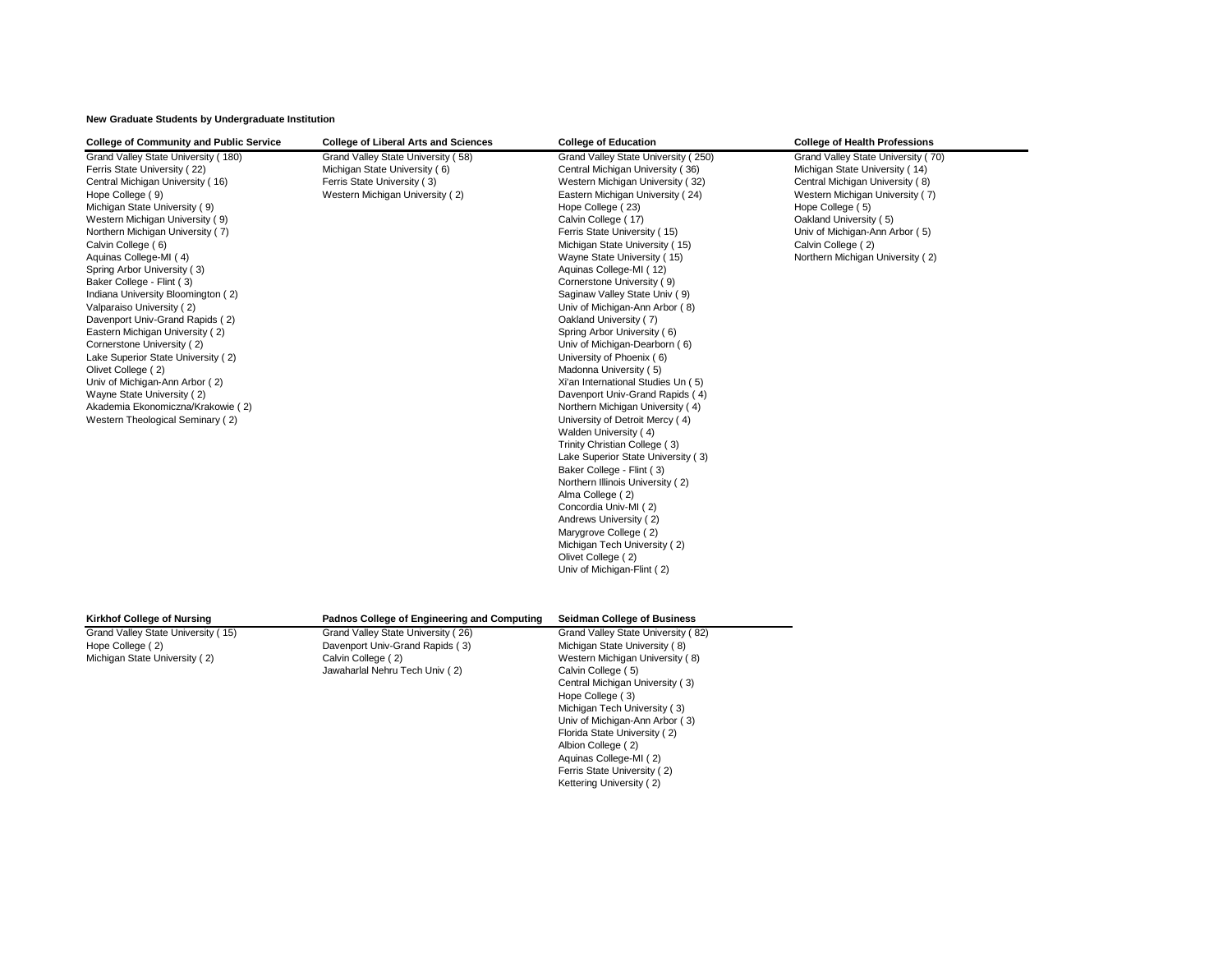# **New Graduate Students by Undergraduate Institution**

Ferris State University ( 2) Kettering University (2)

| <b>College of Community and Public Service</b>                                                                                                                                                                                                                                                                                                                                                                                                                                                                                                                                                                                                                                                                              | <b>College of Liberal Arts and Sciences</b>                                                                                           | <b>College of Education</b>                                                                                                                                                                                                                                                                                                                                                                                                                                                                                                                                                                                                                                                                                                                                                                                                                                                                                                                                                                                                                                                    | <b>College of Health Professions</b>                                                                                                                                                                                                                                                 |
|-----------------------------------------------------------------------------------------------------------------------------------------------------------------------------------------------------------------------------------------------------------------------------------------------------------------------------------------------------------------------------------------------------------------------------------------------------------------------------------------------------------------------------------------------------------------------------------------------------------------------------------------------------------------------------------------------------------------------------|---------------------------------------------------------------------------------------------------------------------------------------|--------------------------------------------------------------------------------------------------------------------------------------------------------------------------------------------------------------------------------------------------------------------------------------------------------------------------------------------------------------------------------------------------------------------------------------------------------------------------------------------------------------------------------------------------------------------------------------------------------------------------------------------------------------------------------------------------------------------------------------------------------------------------------------------------------------------------------------------------------------------------------------------------------------------------------------------------------------------------------------------------------------------------------------------------------------------------------|--------------------------------------------------------------------------------------------------------------------------------------------------------------------------------------------------------------------------------------------------------------------------------------|
| Grand Valley State University (180)<br>Ferris State University (22)<br>Central Michigan University (16)<br>Hope College (9)<br>Michigan State University (9)<br>Western Michigan University (9)<br>Northern Michigan University (7)<br>Calvin College (6)<br>Aquinas College-MI (4)<br>Spring Arbor University (3)<br>Baker College - Flint (3)<br>Indiana University Bloomington (2)<br>Valparaiso University (2)<br>Davenport Univ-Grand Rapids (2)<br>Eastern Michigan University (2)<br>Cornerstone University (2)<br>Lake Superior State University (2)<br>Olivet College (2)<br>Univ of Michigan-Ann Arbor (2)<br>Wayne State University (2)<br>Akademia Ekonomiczna/Krakowie (2)<br>Western Theological Seminary (2) | Grand Valley State University (58)<br>Michigan State University (6)<br>Ferris State University (3)<br>Western Michigan University (2) | Grand Valley State University (250)<br>Central Michigan University (36)<br>Western Michigan University (32)<br>Eastern Michigan University (24)<br>Hope College (23)<br>Calvin College (17)<br>Ferris State University (15)<br>Michigan State University (15)<br>Wayne State University (15)<br>Aquinas College-MI (12)<br>Cornerstone University (9)<br>Saginaw Valley State Univ (9)<br>Univ of Michigan-Ann Arbor (8)<br>Oakland University (7)<br>Spring Arbor University (6)<br>Univ of Michigan-Dearborn (6)<br>University of Phoenix (6)<br>Madonna University (5)<br>Xi'an International Studies Un (5)<br>Davenport Univ-Grand Rapids (4)<br>Northern Michigan University (4)<br>University of Detroit Mercy (4)<br>Walden University (4)<br>Trinity Christian College (3)<br>Lake Superior State University (3)<br>Baker College - Flint (3)<br>Northern Illinois University (2)<br>Alma College (2)<br>Concordia Univ-MI (2)<br>Andrews University (2)<br>Marygrove College (2)<br>Michigan Tech University (2)<br>Olivet College (2)<br>Univ of Michigan-Flint (2) | Grand Valley State University (70)<br>Michigan State University (14)<br>Central Michigan University (8)<br>Western Michigan University (7)<br>Hope College (5)<br>Oakland University (5)<br>Univ of Michigan-Ann Arbor (5)<br>Calvin College (2)<br>Northern Michigan University (2) |
| <b>Kirkhof College of Nursing</b>                                                                                                                                                                                                                                                                                                                                                                                                                                                                                                                                                                                                                                                                                           | Padnos College of Engineering and Computing                                                                                           | <b>Seidman College of Business</b>                                                                                                                                                                                                                                                                                                                                                                                                                                                                                                                                                                                                                                                                                                                                                                                                                                                                                                                                                                                                                                             |                                                                                                                                                                                                                                                                                      |
| Grand Valley State University (15)<br>Hope College (2)<br>Michigan State University (2)                                                                                                                                                                                                                                                                                                                                                                                                                                                                                                                                                                                                                                     | Grand Valley State University (26)<br>Davenport Univ-Grand Rapids (3)<br>Calvin College (2)<br>Jawaharlal Nehru Tech Univ (2)         | Grand Valley State University (82)<br>Michigan State University (8)<br>Western Michigan University (8)<br>Calvin College (5)<br>Central Michigan University (3)<br>Hope College (3)<br>Michigan Tech University (3)<br>Univ of Michigan-Ann Arbor (3)<br>Florida State University (2)<br>Albion College (2)<br>Aquinas College-MI (2)                                                                                                                                                                                                                                                                                                                                                                                                                                                                                                                                                                                                                                                                                                                                          |                                                                                                                                                                                                                                                                                      |